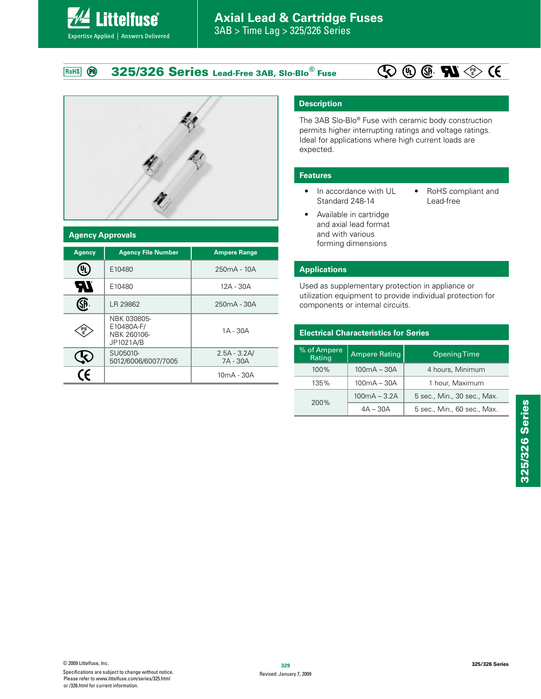**325/326 Series Lead-Free 3AB, Slo-Blo® Fuse** RoHS **PO** 





#### **Agency Approvals**

**Littelfuse**®

Expertise Applied | Answers Delivered

| <b>Agency</b> | <b>Agency File Number</b>                             | <b>Ampere Range</b>        |  |  |  |
|---------------|-------------------------------------------------------|----------------------------|--|--|--|
|               | E10480                                                | 250mA - 10A                |  |  |  |
| W             | E10480                                                | 12A - 30A                  |  |  |  |
|               | LR 29862                                              | 250mA - 30A                |  |  |  |
| PS<br>E       | NBK 030805-<br>E10480A-F/<br>NBK 260106-<br>JP1021A/B | $1A - 30A$                 |  |  |  |
|               | SU05010-<br>5012/6006/6007/7005                       | $2.5A - 3.2A/$<br>7A - 30A |  |  |  |
| $\epsilon$    |                                                       | 10mA - 30A                 |  |  |  |

## **Description**

The 3AB Slo-Blo® Fuse with ceramic body construction permits higher interrupting ratings and voltage ratings. Ideal for applications where high current loads are expected.

#### **Features**

- $\bullet$  In accordance with UL Standard 248-14
- RoHS compliant and Lead-free
- Available in cartridge and axial lead format and with various forming dimensions

#### **Applications**

Used as supplementary protection in appliance or utilization equipment to provide individual protection for components or internal circuits.

| <b>Electrical Characteristics for Series</b> |                                             |                             |  |  |
|----------------------------------------------|---------------------------------------------|-----------------------------|--|--|
| % of Ampere<br>Rating                        | <b>Ampere Rating</b><br><b>Opening Time</b> |                             |  |  |
| 100%                                         | $100mA - 30A$                               | 4 hours, Minimum            |  |  |
| 135%                                         | $100mA - 30A$                               | 1 hour, Maximum             |  |  |
| 200%                                         | $100mA - 3.2A$                              | 5 sec., Min., 30 sec., Max. |  |  |
|                                              | $4A - 30A$                                  | 5 sec., Min., 60 sec., Max. |  |  |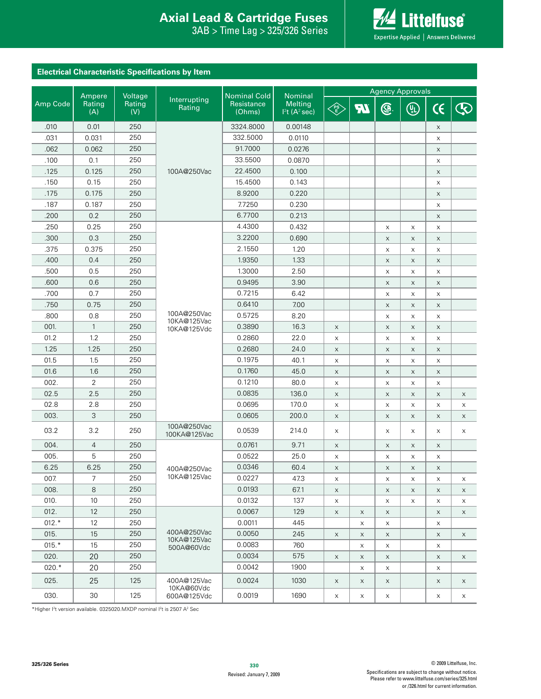## **Interproduction Interacts Axial Lead & Cartridge Fuses**

 $3AB >$ Time Lag  $> 325/326$  Series



## **Electrical Characteristic Specifications by Item**

|          | Ampere         | Voltage       |                             | <b>Nominal Cold</b>  | Nominal                                                | <b>Agency Approvals</b>                                                        |             |              |                           |                           |                           |
|----------|----------------|---------------|-----------------------------|----------------------|--------------------------------------------------------|--------------------------------------------------------------------------------|-------------|--------------|---------------------------|---------------------------|---------------------------|
| Amp Code | Rating<br>(A)  | Rating<br>(V) | Interrupting<br>Rating      | Resistance<br>(Ohms) | <b>Melting</b><br>1 <sup>2</sup> t(A <sup>2</sup> sec) | $\left\langle \begin{matrix} \text{PS} \ \text{ES} \end{matrix} \right\rangle$ | <b>AT</b>   | ®.           | $\circledR$               | $\epsilon$                | Ŀ                         |
| .010     | 0.01           | 250           |                             | 3324.8000            | 0.00148                                                |                                                                                |             |              |                           | X                         |                           |
| .031     | 0.031          | 250           |                             | 332.5000             | 0.0110                                                 |                                                                                |             |              |                           | X                         |                           |
| .062     | 0.062          | 250           |                             | 91.7000              | 0.0276                                                 |                                                                                |             |              |                           | $\mathsf X$               |                           |
| .100     | 0.1            | 250           |                             | 33.5500              | 0.0870                                                 |                                                                                |             |              |                           | X                         |                           |
| .125     | 0.125          | 250           | 100A@250Vac                 | 22.4500              | 0.100                                                  |                                                                                |             |              |                           | $\boldsymbol{\mathsf{X}}$ |                           |
| .150     | 0.15           | 250           |                             | 15.4500              | 0.143                                                  |                                                                                |             |              |                           | X                         |                           |
| .175     | 0.175          | 250           |                             | 8.9200               | 0.220                                                  |                                                                                |             |              |                           | $\boldsymbol{\mathsf{X}}$ |                           |
| .187     | 0.187          | 250           |                             | 7.7250               | 0.230                                                  |                                                                                |             |              |                           | $\mathsf X$               |                           |
| .200     | 0.2            | 250           |                             | 6.7700               | 0.213                                                  |                                                                                |             |              |                           | $\boldsymbol{\mathsf{X}}$ |                           |
| .250     | 0.25           | 250           |                             | 4.4300               | 0.432                                                  |                                                                                |             | X            | X                         | X                         |                           |
| .300     | 0.3            | 250           |                             | 3.2200               | 0.690                                                  |                                                                                |             | X            | X                         | X                         |                           |
| .375     | 0.375          | 250           |                             | 2.1550               | 1.20                                                   |                                                                                |             | X            | X                         | X                         |                           |
| .400     | 0.4            | 250           |                             | 1.9350               | 1.33                                                   |                                                                                |             | X            | X                         | $\mathsf X$               |                           |
| .500     | 0.5            | 250           |                             | 1.3000               | 2.50                                                   |                                                                                |             | X            | X                         | X                         |                           |
| .600     | 0.6            | 250           |                             | 0.9495               | 3.90                                                   |                                                                                |             | X            | X                         | X                         |                           |
| .700     | 0.7            | 250           |                             | 0.7215               | 6.42                                                   |                                                                                |             | X            | X                         | X                         |                           |
| .750     | 0.75           | 250           |                             | 0.6410               | 7.00                                                   |                                                                                |             | X            | X                         | $\boldsymbol{\mathsf{X}}$ |                           |
| .800     | 0.8            | 250           | 100A@250Vac                 | 0.5725               | 8.20                                                   |                                                                                |             | X            | X                         | X                         |                           |
| 001.     | $\mathbf{1}$   | 250           | 10KA@125Vac<br>10KA@125Vdc  | 0.3890               | 16.3                                                   | $\mathsf X$                                                                    |             | $\mathsf X$  | $\mathsf X$               | $\boldsymbol{\mathsf{X}}$ |                           |
| 01.2     | 1.2            | 250           |                             | 0.2860               | 22.0                                                   | $\mathsf X$                                                                    |             | X            | X                         | X                         |                           |
| 1.25     | 1.25           | 250           |                             | 0.2680               | 24.0                                                   | $\mathsf X$                                                                    |             | X            | $\boldsymbol{\mathsf{X}}$ | X                         |                           |
| 01.5     | 1.5            | 250           |                             | 0.1975               | 40.1                                                   | X                                                                              |             | X            | X                         | X                         |                           |
| 01.6     | 1.6            | 250           |                             | 0.1760               | 45.0                                                   | $\mathsf X$                                                                    |             | $\mathsf X$  | X                         | $\mathsf X$               |                           |
| 002.     | $\overline{2}$ | 250           |                             | 0.1210               | 80.0                                                   | X                                                                              |             | X            | X                         | X                         |                           |
| 02.5     | 2.5            | 250           |                             | 0.0835               | 136.0                                                  | X                                                                              |             | X            | X                         | X                         | $\boldsymbol{\mathsf{X}}$ |
| 02.8     | 2.8            | 250           |                             | 0.0695               | 170.0                                                  | X                                                                              |             | X            | X                         | X                         | X                         |
| 003.     | 3              | 250           |                             | 0.0605               | 200.0                                                  | $\mathsf X$                                                                    |             | X            | X                         | X                         | $\boldsymbol{\mathsf{X}}$ |
| 03.2     | 3.2            | 250           | 100A@250Vac<br>100KA@125Vac | 0.0539               | 214.0                                                  | X                                                                              |             | X            | X                         | X                         | X                         |
| 004.     | 4              | 250           |                             | 0.0761               | 9.71                                                   | $\mathsf X$                                                                    |             | $\mathsf X$  | $\mathsf X$               | $\mathsf X$               |                           |
| 005.     | 5              | 250           |                             | 0.0522               | 25.0                                                   | X                                                                              |             | X            | X                         | X                         |                           |
| 6.25     | 6.25           | 250           | 400A@250Vac                 | 0.0346               | 60.4                                                   | X                                                                              |             | X            | X                         | X                         |                           |
| 007.     | 7              | 250           | 10KA@125Vac                 | 0.0227               | 47.3                                                   | X                                                                              |             | X            | X                         | X                         | X                         |
| 008.     | 8              | 250           |                             | 0.0193               | 67.1                                                   | $\times$                                                                       |             | X            | $\mathsf X$               | X                         | $\times$                  |
| 010.     | $10$           | 250           |                             | 0.0132               | 137                                                    | X                                                                              |             | X            | X                         | X                         | X                         |
| 012.     | 12             | 250           |                             | 0.0067               | 129                                                    | $\mathsf X$                                                                    | $\mathsf X$ | $\times$     |                           | $\mathsf X$               | $\times$                  |
| $012.*$  | 12             | 250           |                             | 0.0011               | 445                                                    |                                                                                | X           | $\mathsf{X}$ |                           | X                         |                           |
| 015.     | 15             | 250           | 400A@250Vac                 | 0.0050               | 245                                                    | $\mathsf X$                                                                    | X           | $\mathsf X$  |                           | X                         | X                         |
| $015.*$  | 15             | 250           | 10KA@125Vac<br>500A@60Vdc   | 0.0083               | 760                                                    |                                                                                | $\mathsf X$ | $\mathsf X$  |                           | X                         |                           |
| 020.     | 20             | 250           |                             | 0.0034               | 575                                                    | $\mathsf X$                                                                    | X           | $\times$     |                           | $\boldsymbol{\mathsf{X}}$ | X                         |
| $020.*$  | 20             | 250           |                             | 0.0042               | 1900                                                   |                                                                                | X           | X            |                           | X                         |                           |
| 025.     | 25             | 125           | 400A@125Vac                 | 0.0024               | 1030                                                   | $\mathsf X$                                                                    | $\times$    | $\times$     |                           | X                         | $\times$                  |
| 030.     | 30             | 125           | 10KA@60Vdc<br>600A@125Vdc   | 0.0019               | 1690                                                   | X                                                                              | X           | X            |                           | X                         | X                         |

\*Higher I<sup>2</sup>t version available. 0325020.MXDP nominal I<sup>2</sup>t is 2507 A<sup>2</sup> Sec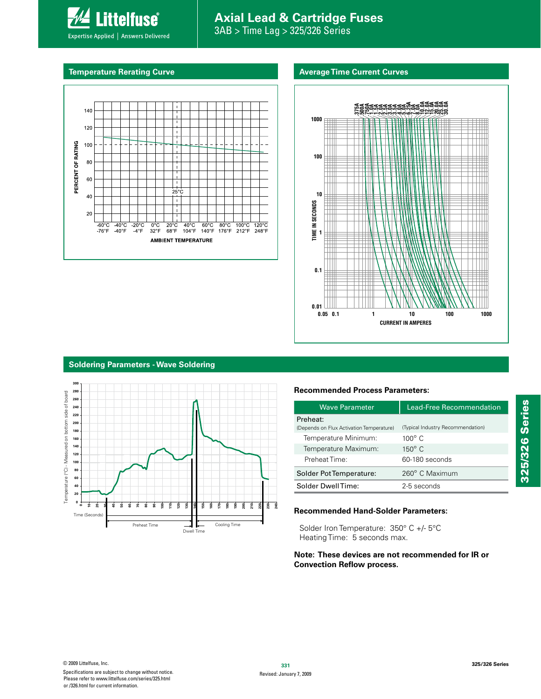# **Axial Lead & Cartridge Fuses**

**Average Time Current Curves**

3AB > Time Lag > 325/326 Series

#### **Temperature Rerating Curve**

Expertise Applied | Answers Delivered

**Littelfuse**®



**0.05 0.1 1 100 1000 1.0A 1.5A 2.0A 2.5A 3.0A 3.5A 4.0A 5.0A .375A .500A .750A 6.25A 7.0A 8.0A 10.0A 12.0A 15.0A 20.0A 25.0A 30.0A 1000 100 10** TIME IN SECONDS **TIME IN SECONDS 1 0.1 0.01 10 CURRENT IN AMPERES**

### **Soldering Parameters - Wave Soldering**



#### **Recommended Process Parameters:**

| <b>Wave Parameter</b>                                | <b>Lead-Free Recommendation</b>   |  |  |  |
|------------------------------------------------------|-----------------------------------|--|--|--|
| Preheat:<br>(Depends on Flux Activation Temperature) | (Typical Industry Recommendation) |  |  |  |
| Temperature Minimum:                                 | $100^\circ$ C                     |  |  |  |
| Temperature Maximum:                                 | $150^\circ$ C                     |  |  |  |
| Preheat Time:                                        | 60-180 seconds                    |  |  |  |
| Solder Pot Temperature:                              | 260° C Maximum                    |  |  |  |
| Solder DwellTime:                                    | 2-5 seconds                       |  |  |  |

#### **Recommended Hand-Solder Parameters:**

Solder Iron Temperature: 350° C +/- 5°C Heating Time: 5 seconds max.

#### **Note: These devices are not recommended for IR or Convection Reflow process.**